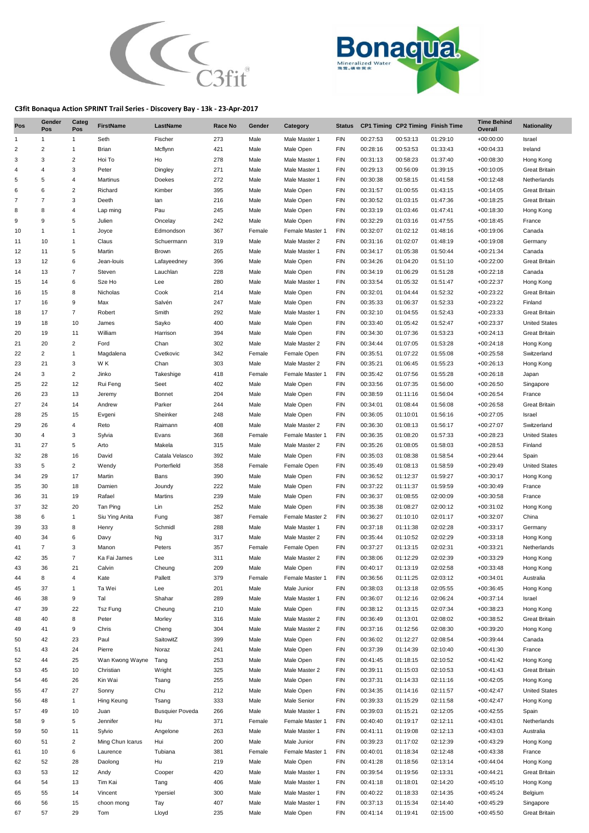



## **C3fit Bonaqua Action SPRINT Trail Series - Discovery Bay - 13k - 23-Apr-2017**

| Pos            | Gender<br>Pos  | Categ<br>Pos            | <b>FirstName</b> | LastName               | Race No    | Gender       | Category                   | <b>Status</b>     |                      | CP1 Timing CP2 Timing Finish Time |                      | <b>Time Behind</b><br>Overall | <b>Nationality</b>                           |
|----------------|----------------|-------------------------|------------------|------------------------|------------|--------------|----------------------------|-------------------|----------------------|-----------------------------------|----------------------|-------------------------------|----------------------------------------------|
| 1              | 1              | $\mathbf{1}$            | Seth             | Fischer                | 273        | Male         | Male Master 1              | <b>FIN</b>        | 00:27:53             | 00:53:13                          | 01:29:10             | $+00:00:00$                   | Israel                                       |
| 2              | 2              | $\mathbf{1}$            | Brian            | Mcflynn                | 421        | Male         | Male Open                  | <b>FIN</b>        | 00:28:16             | 00:53:53                          | 01:33:43             | $+00:04:33$                   | Ireland                                      |
| 3              | 3              | $\overline{\mathbf{c}}$ | Hoi To           | Ho                     | 278        | Male         | Male Master 1              | <b>FIN</b>        | 00:31:13             | 00:58:23                          | 01:37:40             | $+00:08:30$                   | Hong Kong                                    |
| 4              | 4              | 3                       | Peter            | Dingley                | 271        | Male         | Male Master 1              | FIN               | 00:29:13             | 00:56:09                          | 01:39:15             | $+00:10:05$                   | <b>Great Britain</b>                         |
| 5              | 5              | 4                       | Martinus         | Doekes                 | 272        | Male         | Male Master 1              | <b>FIN</b>        | 00:30:38             | 00:58:15                          | 01:41:58             | $+00:12:48$                   | Netherlands                                  |
| 6              | 6              | $\sqrt{2}$              | Richard          | Kimber                 | 395        | Male         | Male Open                  | <b>FIN</b>        | 00:31:57             | 01:00:55                          | 01:43:15             | $+00:14:05$                   | <b>Great Britain</b>                         |
| $\overline{7}$ | $\overline{7}$ | 3                       | Deeth            | lan                    | 216        | Male         | Male Open                  | FIN               | 00:30:52             | 01:03:15                          | 01:47:36             | $+00:18:25$                   | <b>Great Britain</b>                         |
| 8              | 8              | 4                       | Lap ming         | Pau                    | 245        | Male         | Male Open                  | FIN               | 00:33:19             | 01:03:46                          | 01:47:41             | $+00:18:30$                   | Hong Kong                                    |
| 9              | 9              | 5                       | Julien           | Oncelay                | 242        | Male         | Male Open                  | <b>FIN</b>        | 00:32:29             | 01:03:16                          | 01:47:55             | $+00:18:45$                   | France                                       |
| 10             | 1              | $\mathbf{1}$            | Joyce            | Edmondson              | 367        | Female       | Female Master 1            | <b>FIN</b>        | 00:32:07             | 01:02:12                          | 01:48:16             | $+00:19:06$                   | Canada                                       |
| 11             | 10             | $\mathbf{1}$            | Claus            | Schuermann             | 319        | Male         | Male Master 2              | <b>FIN</b>        | 00:31:16             | 01:02:07                          | 01:48:19             | $+00:19:08$                   | Germany                                      |
| 12             | 11             | 5                       | Martin           | Brown                  | 265        | Male         | Male Master 1              | <b>FIN</b>        | 00:34:17             | 01:05:38                          | 01:50:44             | $+00:21:34$                   | Canada                                       |
| 13             | 12             | 6                       | Jean-louis       | Lafayeedney            | 396        | Male         | Male Open                  | <b>FIN</b>        | 00:34:26             | 01:04:20                          | 01:51:10             | $+00:22:00$                   | <b>Great Britain</b>                         |
| 14             | 13             | $\overline{7}$          | Steven           | Lauchlan               | 228        | Male         | Male Open                  | FIN               | 00:34:19             | 01:06:29                          | 01:51:28             | $+00:22:18$                   | Canada                                       |
| 15             | 14             | 6                       | Sze Ho           | Lee                    | 280        | Male         | Male Master 1              | FIN               | 00:33:54             | 01:05:32                          | 01:51:47             | $+00:22:37$                   | Hong Kong                                    |
| 16             | 15             | 8<br>9                  | Nicholas         | Cook                   | 214        | Male         | Male Open                  | FIN               | 00:32:01             | 01:04:44                          | 01:52:32             | $+00:23:22$                   | <b>Great Britain</b>                         |
| 17             | 16             |                         | Max              | Salvén                 | 247        | Male         | Male Open                  | <b>FIN</b>        | 00:35:33             | 01:06:37                          | 01:52:33             | $+00:23:22$                   | Finland                                      |
| 18<br>19       | 17<br>18       | $\overline{7}$<br>10    | Robert<br>James  | Smith<br>Sayko         | 292<br>400 | Male<br>Male | Male Master 1<br>Male Open | FIN<br><b>FIN</b> | 00:32:10<br>00:33:40 | 01:04:55<br>01:05:42              | 01:52:43<br>01:52:47 | $+00:23:33$<br>$+00:23:37$    | <b>Great Britain</b><br><b>United States</b> |
| 20             | 19             | 11                      | William          | Harrison               | 394        | Male         | Male Open                  | <b>FIN</b>        | 00:34:30             | 01:07:36                          | 01:53:23             | $+00:24:13$                   | <b>Great Britain</b>                         |
| 21             | 20             | $\sqrt{2}$              | Ford             | Chan                   | 302        | Male         | Male Master 2              | FIN               | 00:34:44             | 01:07:05                          | 01:53:28             | $+00:24:18$                   | Hong Kong                                    |
| 22             | $\overline{2}$ | $\mathbf{1}$            | Magdalena        | Cvetkovic              | 342        | Female       | Female Open                | FIN               | 00:35:51             | 01:07:22                          | 01:55:08             | $+00:25:58$                   | Switzerland                                  |
| 23             | 21             | 3                       | W K              | Chan                   | 303        | Male         | Male Master 2              | <b>FIN</b>        | 00:35:21             | 01:06:45                          | 01:55:23             | $+00:26:13$                   | Hong Kong                                    |
| 24             | 3              | $\overline{\mathbf{c}}$ | Jinko            | Takeshige              | 418        | Female       | Female Master 1            | <b>FIN</b>        | 00:35:42             | 01:07:56                          | 01:55:28             | $+00:26:18$                   | Japan                                        |
| 25             | 22             | 12                      | Rui Feng         | Seet                   | 402        | Male         | Male Open                  | <b>FIN</b>        | 00:33:56             | 01:07:35                          | 01:56:00             | $+00:26:50$                   | Singapore                                    |
| 26             | 23             | 13                      | Jeremy           | Bonnet                 | 204        | Male         | Male Open                  | <b>FIN</b>        | 00:38:59             | 01:11:16                          | 01:56:04             | $+00:26:54$                   | France                                       |
| 27             | 24             | 14                      | Andrew           | Parker                 | 244        | Male         | Male Open                  | <b>FIN</b>        | 00:34:01             | 01:08:44                          | 01:56:08             | $+00:26:58$                   | <b>Great Britain</b>                         |
| 28             | 25             | 15                      | Evgeni           | Sheinker               | 248        | Male         | Male Open                  | <b>FIN</b>        | 00:36:05             | 01:10:01                          | 01:56:16             | $+00:27:05$                   | Israel                                       |
| 29             | 26             | 4                       | Reto             | Raimann                | 408        | Male         | Male Master 2              | <b>FIN</b>        | 00:36:30             | 01:08:13                          | 01:56:17             | $+00:27:07$                   | Switzerland                                  |
| 30             | 4              | 3                       | Sylvia           | Evans                  | 368        | Female       | Female Master 1            | <b>FIN</b>        | 00:36:35             | 01:08:20                          | 01:57:33             | $+00:28:23$                   | <b>United States</b>                         |
| 31             | 27             | 5                       | Arto             | Makela                 | 315        | Male         | Male Master 2              | <b>FIN</b>        | 00:35:26             | 01:08:05                          | 01:58:03             | $+00:28:53$                   | Finland                                      |
| 32             | 28             | 16                      | David            | Catala Velasco         | 392        | Male         | Male Open                  | <b>FIN</b>        | 00:35:03             | 01:08:38                          | 01:58:54             | $+00:29:44$                   | Spain                                        |
| 33             | 5              | $\overline{2}$          | Wendy            | Porterfield            | 358        | Female       | Female Open                | FIN               | 00:35:49             | 01:08:13                          | 01:58:59             | $+00:29:49$                   | <b>United States</b>                         |
| 34             | 29             | 17                      | Martin           | Bans                   | 390        | Male         | Male Open                  | <b>FIN</b>        | 00:36:52             | 01:12:37                          | 01:59:27             | $+00:30:17$                   | Hong Kong                                    |
| 35             | 30             | 18                      | Damien           | Joundy                 | 222        | Male         | Male Open                  | FIN               | 00:37:22             | 01:11:37                          | 01:59:59             | $+00:30:49$                   | France                                       |
| 36             | 31             | 19                      | Rafael           | Martins                | 239        | Male         | Male Open                  | <b>FIN</b>        | 00:36:37             | 01:08:55                          | 02:00:09             | $+00:30:58$                   | France                                       |
| 37             | 32             | 20                      | Tan Ping         | Lin                    | 252        | Male         | Male Open                  | <b>FIN</b>        | 00:35:38             | 01:08:27                          | 02:00:12             | $+00:31:02$                   | Hong Kong                                    |
| 38             | 6              | $\mathbf{1}$            | Siu Ying Anita   | Fung                   | 387        | Female       | Female Master 2            | <b>FIN</b>        | 00:36:27             | 01:10:10                          | 02:01:17             | $+00:32:07$                   | China                                        |
| 39             | 33             | 8                       | Henry            | Schmidl                | 288        | Male         | Male Master 1              | FIN               | 00:37:18             | 01:11:38                          | 02:02:28             | $+00:33:17$                   | Germany                                      |
| 40             | 34             | 6                       | Davy             | Ng                     | 317        | Male         | Male Master 2              | FIN               | 00:35:44             | 01:10:52                          | 02:02:29             | $+00:33:18$                   | Hong Kong                                    |
| 41             | $\overline{7}$ | 3                       | Manon            | Peters                 | 357        | Female       | Female Open                | <b>FIN</b>        | 00:37:27             | 01:13:15                          | 02:02:31             | $+00:33:21$                   | Netherlands                                  |
| 42             | 35             | 7                       | Ka Fai James     | Lee                    | 311        | Male         | Male Master 2              | FIN               | 00:38:06             | 01:12:29                          | 02:02:39             | $+00:33:29$                   | Hong Kong                                    |
| 43             | 36             | 21                      | Calvin           | Cheung                 | 209        | Male         | Male Open                  | FIN               | 00:40:17             | 01:13:19                          | 02:02:58             | $+00:33:48$                   | Hong Kong                                    |
| 44             | 8              | 4                       | Kate             | Pallett                | 379        | Female       | Female Master 1            | <b>FIN</b>        | 00:36:56             | 01:11:25                          | 02:03:12             | $+00:34:01$                   | Australia                                    |
| 45             | 37             | $\mathbf{1}$            | Ta Wei           | Lee                    | 201        | Male         | Male Junior                | <b>FIN</b>        | 00:38:03             | 01:13:18                          | 02:05:55             | $+00:36:45$                   | Hong Kong                                    |
| 46             | 38             | 9                       | Tal              | Shahar                 | 289        | Male         | Male Master 1              | <b>FIN</b>        | 00:36:07             | 01:12:16                          | 02:06:24             | $+00:37:14$                   | Israel                                       |
| 47             | 39             | 22                      | <b>Tsz Fung</b>  | Cheung                 | 210        | Male         | Male Open                  | FIN               | 00:38:12             | 01:13:15                          | 02:07:34             | $+00:38:23$                   | Hong Kong                                    |
| 48             | 40             | 8                       | Peter            | Morley                 | 316        | Male         | Male Master 2              | FIN               | 00:36:49             | 01:13:01                          | 02:08:02             | $+00:38:52$                   | <b>Great Britain</b>                         |
| 49             | 41             | 9                       | Chris            | Cheng                  | 304        | Male         | Male Master 2              | <b>FIN</b>        | 00:37:16             | 01:12:56                          | 02:08:30             | $+00:39:20$                   | Hong Kong                                    |
| 50             | 42             | 23                      | Paul             | SaitowitZ              | 399        | Male         | Male Open                  | FIN               | 00:36:02             | 01:12:27                          | 02:08:54             | $+00:39:44$                   | Canada                                       |
| 51             | 43             | 24                      | Pierre           | Noraz                  | 241        | Male         | Male Open                  | FIN               | 00:37:39             | 01:14:39                          | 02:10:40             | $+00:41:30$                   | France                                       |
| 52             | 44             | 25                      | Wan Kwong Wayne  | Tang                   | 253        | Male         | Male Open                  | <b>FIN</b>        | 00:41:45             | 01:18:15                          | 02:10:52             | $+00:41:42$                   | Hong Kong                                    |
| 53             | 45             | 10                      | Christian        | Wright                 | 325        | Male         | Male Master 2              | <b>FIN</b>        | 00:39:11             | 01:15:03                          | 02:10:53             | $+00:41:43$                   | <b>Great Britain</b>                         |
| 54             | 46             | 26                      | Kin Wai          | Tsang                  | 255        | Male         | Male Open                  | <b>FIN</b>        | 00:37:31             | 01:14:33                          | 02:11:16             | $+00:42:05$                   | Hong Kong                                    |
| 55             | 47             | 27                      | Sonny            | Chu                    | 212        | Male         | Male Open                  | <b>FIN</b>        | 00:34:35             | 01:14:16                          | 02:11:57             | $+00:42:47$                   | <b>United States</b>                         |
| 56             | 48             | $\mathbf{1}$            | Hing Keung       | Tsang                  | 333        | Male         | <b>Male Senior</b>         | <b>FIN</b>        | 00:39:33             | 01:15:29                          | 02:11:58             | $+00:42:47$                   | Hong Kong                                    |
| 57             | 49             | 10                      | Juan             | <b>Busquier Poveda</b> | 266        | Male         | Male Master 1              | FIN               | 00:39:03             | 01:15:21                          | 02:12:05             | $+00:42:55$                   | Spain                                        |
| 58             | 9              | 5                       | Jennifer         | Hu                     | 371        | Female       | Female Master 1            | <b>FIN</b>        | 00:40:40             | 01:19:17                          | 02:12:11             | $+00:43:01$                   | Netherlands                                  |
| 59             | 50             | 11                      | Sylvio           | Angelone               | 263        | Male         | Male Master 1              | <b>FIN</b>        | 00:41:11             | 01:19:08                          | 02:12:13             | $+00:43:03$                   | Australia                                    |
| 60             | 51             | $\sqrt{2}$              | Ming Chun Icarus | Hui                    | 200        | Male         | Male Junior                | <b>FIN</b>        | 00:39:23             | 01:17:02                          | 02:12:39             | $+00:43:29$                   | Hong Kong                                    |
| 61             | 10             | 6                       | Laurence         | Tubiana                | 381        | Female       | Female Master 1            | <b>FIN</b>        | 00:40:01             | 01:18:34                          | 02:12:48             | $+00:43:38$                   | France                                       |
| 62             | 52             | 28                      | Daolong          | Hu                     | 219        | Male         | Male Open                  | <b>FIN</b>        | 00:41:28             | 01:18:56                          | 02:13:14             | $+00:44:04$                   | Hong Kong                                    |
| 63             | 53             | 12                      | Andy             | Cooper                 | 420        | Male         | Male Master 1              | <b>FIN</b>        | 00:39:54             | 01:19:56                          | 02:13:31             | $+00:44:21$                   | <b>Great Britain</b>                         |
| 64             | 54             | 13                      | Tim Kai          | Tang                   | 406        | Male         | Male Master 1              | FIN               | 00:41:18             | 01:18:01                          | 02:14:20             | $+00:45:10$                   | Hong Kong                                    |
| 65             | 55             | 14                      | Vincent          | Ypersiel               | 300        | Male         | Male Master 1              | FIN               | 00:40:22             | 01:18:33                          | 02:14:35             | $+00:45:24$                   | Belgium                                      |
| 66             | 56             | 15                      | choon mong       | Tay                    | 407        | Male         | Male Master 1              | <b>FIN</b>        | 00:37:13             | 01:15:34                          | 02:14:40             | $+00:45:29$                   | Singapore                                    |
| 67             | 57             | 29                      | Tom              | Lloyd                  | 235        | Male         | Male Open                  | <b>FIN</b>        | 00:41:14             | 01:19:41                          | 02:15:00             | $+00:45:50$                   | <b>Great Britain</b>                         |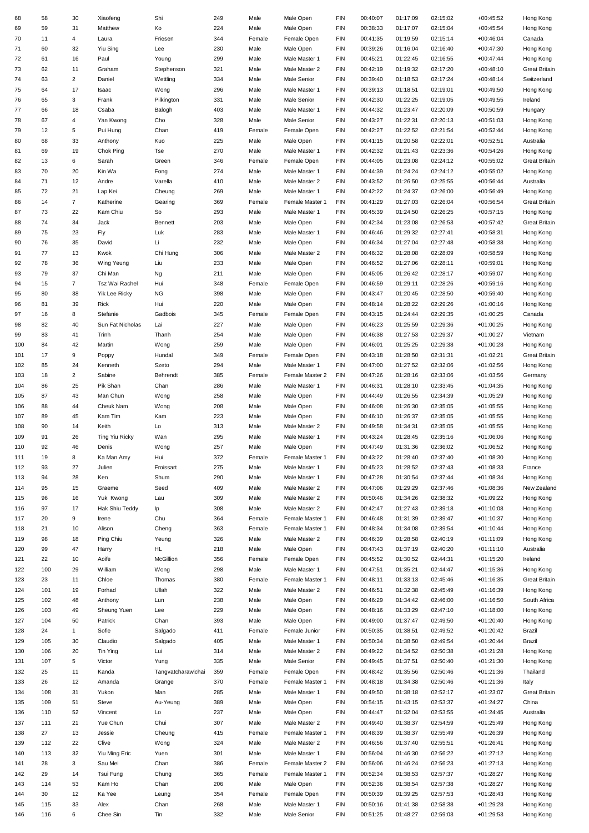| 68         | 58         | 30               | Xiaofeng               | Shi                | 249        | Male           | Male Open                      | FIN               | 00:40:07             | 01:17:09             | 02:15:02             | $+00:45:52$                | Hong Kong                         |
|------------|------------|------------------|------------------------|--------------------|------------|----------------|--------------------------------|-------------------|----------------------|----------------------|----------------------|----------------------------|-----------------------------------|
| 69         | 59         | 31               | Matthew                | Ko                 | 224        | Male           | Male Open                      | <b>FIN</b>        | 00:38:33             | 01:17:07             | 02:15:04             | $+00:45:54$                | Hong Kong                         |
| 70         | 11         | 4                | Laura                  | Friesen            | 344        | Female         | Female Open                    | FIN               | 00:41:35             | 01:19:59             | 02:15:14             | $+00:46:04$                | Canada                            |
| 71         | 60         | 32               | Yiu Sing               | Lee                | 230        | Male           | Male Open                      | FIN               | 00:39:26             | 01:16:04             | 02:16:40             | $+00:47:30$                | Hong Kong                         |
| 72         | 61         | 16               | Paul                   | Young              | 299        | Male           | Male Master 1                  | FIN               | 00:45:21             | 01:22:45             | 02:16:55             | $+00:47:44$                | Hong Kong                         |
| 73         | 62         | 11               | Graham                 | Stephenson         | 321        | Male           | Male Master 2                  | FIN               | 00:42:19             | 01:19:32             | 02:17:20             | $+00:48:10$                | <b>Great Britain</b>              |
| 74         | 63         | $\overline{2}$   | Daniel                 | Wettling           | 334        | Male           | <b>Male Senior</b>             | FIN               | 00:39:40             | 01:18:53             | 02:17:24             | $+00:48:14$                | Switzerland                       |
| 75         | 64         | 17               | Isaac                  | Wong               | 296        | Male           | Male Master 1                  | FIN               | 00:39:13             | 01:18:51             | 02:19:01             | $+00:49:50$                | Hong Kong                         |
| 76         | 65         | 3                | Frank                  | Pilkington         | 331        | Male           | Male Senior                    | FIN               | 00:42:30             | 01:22:25             | 02:19:05             | $+00:49:55$                | Ireland                           |
| 77         | 66         | 18               | Csaba                  | Balogh             | 403        | Male           | Male Master 1                  | <b>FIN</b>        | 00:44:32             | 01:23:47             | 02:20:09             | $+00:50:59$                | Hungary                           |
| 78         | 67         | 4                | Yan Kwong              | Cho                | 328        | Male           | <b>Male Senior</b>             | <b>FIN</b>        | 00:43:27<br>00:42:27 | 01:22:31             | 02:20:13             | $+00:51:03$                | Hong Kong                         |
| 79<br>80   | 12<br>68   | 5<br>33          | Pui Hung<br>Anthony    | Chan<br>Kuo        | 419<br>225 | Female<br>Male | Female Open<br>Male Open       | FIN<br>FIN        | 00:41:15             | 01:22:52<br>01:20:58 | 02:21:54<br>02:22:01 | $+00:52:44$<br>$+00:52:51$ | Hong Kong<br>Australia            |
| 81         | 69         | 19               | Chok Ping              | Tse                | 270        | Male           | Male Master 1                  | FIN               | 00:42:32             | 01:21:43             | 02:23:36             | $+00:54:26$                | Hong Kong                         |
| 82         | 13         | 6                | Sarah                  | Green              | 346        | Female         | Female Open                    | FIN               | 00:44:05             | 01:23:08             | 02:24:12             | $+00:55:02$                | <b>Great Britain</b>              |
| 83         | 70         | 20               | Kin Wa                 | Fong               | 274        | Male           | Male Master 1                  | FIN               | 00:44:39             | 01:24:24             | 02:24:12             | $+00:55:02$                | Hong Kong                         |
| 84         | 71         | 12               | Andre                  | Varella            | 410        | Male           | Male Master 2                  | FIN               | 00:43:52             | 01:26:50             | 02:25:55             | $+00:56:44$                | Australia                         |
| 85         | 72         | 21               | Lap Kei                | Cheung             | 269        | Male           | Male Master 1                  | FIN               | 00:42:22             | 01:24:37             | 02:26:00             | $+00:56:49$                | Hong Kong                         |
| 86         | 14         | $\overline{7}$   | Katherine              | Gearing            | 369        | Female         | Female Master 1                | <b>FIN</b>        | 00:41:29             | 01:27:03             | 02:26:04             | $+00:56:54$                | <b>Great Britain</b>              |
| 87         | 73         | 22               | Kam Chiu               | So                 | 293        | Male           | Male Master 1                  | <b>FIN</b>        | 00:45:39             | 01:24:50             | 02:26:25             | $+00:57:15$                | Hong Kong                         |
| 88         | 74         | 34               | Jack                   | Bennett            | 203        | Male           | Male Open                      | FIN               | 00:42:34             | 01:23:08             | 02:26:53             | $+00:57:42$                | <b>Great Britain</b>              |
| 89         | 75         | 23               | Fly                    | Luk                | 283        | Male           | Male Master 1                  | FIN               | 00:46:46             | 01:29:32             | 02:27:41             | $+00:58:31$                | Hong Kong                         |
| 90         | 76         | 35               | David                  | Li                 | 232        | Male           | Male Open                      | FIN               | 00:46:34             | 01:27:04             | 02:27:48             | $+00:58:38$                | Hong Kong                         |
| 91         | 77         | 13               | Kwok                   | Chi Hung           | 306        | Male           | Male Master 2                  | FIN               | 00:46:32             | 01:28:08             | 02:28:09             | $+00:58:59$                | Hong Kong                         |
| 92         | 78         | 36               | Wing Yeung             | Liu                | 233        | Male           | Male Open                      | FIN               | 00:46:52             | 01:27:06             | 02:28:11             | $+00:59:01$                | Hong Kong                         |
| 93         | 79         | 37               | Chi Man                | Ng                 | 211        | Male           | Male Open                      | FIN               | 00:45:05             | 01:26:42             | 02:28:17             | $+00:59:07$                | Hong Kong                         |
| 94         | 15         | $\overline{7}$   | Tsz Wai Rachel         | Hui                | 348        | Female         | Female Open                    | <b>FIN</b>        | 00:46:59             | 01:29:11             | 02:28:26             | $+00:59:16$                | Hong Kong                         |
| 95         | 80         | 38               | Yik Lee Ricky          | <b>NG</b>          | 398        | Male           | Male Open                      | <b>FIN</b>        | 00:43:47             | 01:20:45             | 02:28:50             | $+00:59:40$                | Hong Kong                         |
| 96         | 81         | 39               | Rick                   | Hui                | 220        | Male           | Male Open                      | FIN               | 00:48:14             | 01:28:22             | 02:29:26             | $+01:00:16$                | Hong Kong                         |
| 97         | 16         | 8                | Stefanie               | Gadbois            | 345        | Female         | Female Open                    | FIN               | 00:43:15             | 01:24:44             | 02:29:35             | $+01:00:25$                | Canada                            |
| 98         | 82         | 40               | Sun Fat Nicholas       | Lai                | 227        | Male           | Male Open                      | FIN               | 00:46:23             | 01:25:59             | 02:29:36             | $+01:00:25$                | Hong Kong                         |
| 99         | 83         | 41               | Trinh                  | Thanh              | 254        | Male           | Male Open                      | FIN               | 00:46:38             | 01:27:53             | 02:29:37             | $+01:00:27$                | Vietnam                           |
| 100<br>101 | 84<br>17   | 42<br>9          | Martin                 | Wong<br>Hundal     | 259<br>349 | Male<br>Female | Male Open<br>Female Open       | FIN<br>FIN        | 00:46:01<br>00:43:18 | 01:25:25<br>01:28:50 | 02:29:38<br>02:31:31 | $+01:00:28$<br>$+01:02:21$ | Hong Kong<br><b>Great Britain</b> |
| 102        | 85         | 24               | Poppy<br>Kenneth       | Szeto              | 294        | Male           | Male Master 1                  | <b>FIN</b>        | 00:47:00             | 01:27:52             | 02:32:06             | $+01:02:56$                | Hong Kong                         |
| 103        | 18         | $\overline{c}$   | Sabine                 | Behrendt           | 385        | Female         | Female Master 2                | <b>FIN</b>        | 00:47:26             | 01:28:16             | 02:33:06             | $+01:03:56$                | Germany                           |
| 104        | 86         | 25               | Pik Shan               | Chan               | 286        | Male           | Male Master 1                  | <b>FIN</b>        | 00:46:31             | 01:28:10             | 02:33:45             | $+01:04:35$                | Hong Kong                         |
| 105        | 87         | 43               | Man Chun               | Wong               | 258        | Male           | Male Open                      | FIN               | 00:44:49             | 01:26:55             | 02:34:39             | $+01:05:29$                | Hong Kong                         |
| 106        | 88         | 44               | Cheuk Nam              | Wong               | 208        | Male           | Male Open                      | FIN               | 00:46:08             | 01:26:30             | 02:35:05             | $+01:05:55$                | Hong Kong                         |
| 107        | 89         | 45               | Kam Tim                | Kam                | 223        | Male           | Male Open                      | FIN               | 00:46:10             | 01:26:37             | 02:35:05             | $+01:05:55$                | Hong Kong                         |
| 108        | 90         | 14               | Keith                  | Lo                 | 313        | Male           | Male Master 2                  | FIN               | 00:49:58             | 01:34:31             | 02:35:05             | $+01:05:55$                | Hong Kong                         |
| 109        | 91         | 26               | Ting Yiu Ricky         | Wan                | 295        | Male           | Male Master 1                  | FIN               | 00:43:24             | 01:28:45             | 02:35:16             | $+01:06:06$                | Hong Kong                         |
| 110        | 92         | 46               | Denis                  | Wong               | 257        | Male           | Male Open                      | FIN               | 00:47:49             | 01:31:36             | 02:36:02             | $+01:06:52$                | Hong Kong                         |
| 111        | 19         | 8                | Ka Man Amy             | Hui                | 372        | Female         | Female Master 1                | <b>FIN</b>        | 00:43:22             | 01:28:40             | 02:37:40             | $+01:08:30$                | Hong Kong                         |
| 112        | 93         | 27               | Julien                 | Froissart          | 275        | Male           | Male Master 1                  | FIN               | 00:45:23             | 01:28:52             | 02:37:43             | $+01:08:33$                | France                            |
| 113        | 94         | 28               | Ken                    | Shum               | 290        | Male           | Male Master 1                  | <b>FIN</b>        | 00:47:28             | 01:30:54             | 02:37:44             | $+01:08:34$                | Hong Kong                         |
| 114        | 95         | 15               | Graeme                 | Seed               | 409        | Male           | Male Master 2                  | FIN               | 00:47:06             | 01:29:29             | 02:37:46             | $+01:08:36$                | New Zealand                       |
| 115        | 96         | 16               | Yuk Kwong              | Lau                | 309        | Male           | Male Master 2                  | FIN               | 00:50:46             | 01:34:26             | 02:38:32             | $+01:09:22$                | Hong Kong                         |
| 116        | 97         | 17               | Hak Shiu Teddy         | Ip                 | 308        | Male           | Male Master 2                  | FIN               | 00:42:47             | 01:27:43             | 02:39:18             | $+01:10:08$                | Hong Kong                         |
| 117        | 20         | $\boldsymbol{9}$ | Irene                  | Chu                | 364        | Female         | Female Master 1                | FIN               | 00:46:48             | 01:31:39             | 02:39:47             | $+01:10:37$                | Hong Kong                         |
| 118        | 21         | 10               | Alison                 | Cheng              | 363        | Female         | Female Master 1                | FIN               | 00:48:34             | 01:34:08             | 02:39:54             | $+01:10:44$                | Hong Kong                         |
| 119        | 98<br>99   | 18<br>47         | Ping Chiu              | Yeung<br>HL.       | 326<br>218 | Male<br>Male   | Male Master 2<br>Male Open     | FIN<br><b>FIN</b> | 00:46:39<br>00:47:43 | 01:28:58<br>01:37:19 | 02:40:19<br>02:40:20 | $+01:11:09$                | Hong Kong<br>Australia            |
| 120<br>121 | 22         | 10               | Harry<br>Aoife         | McGillion          | 356        | Female         | Female Open                    | <b>FIN</b>        | 00:45:52             | 01:30:52             | 02:44:31             | $+01:11:10$<br>$+01:15:20$ | Ireland                           |
| 122        | 100        | 29               | William                | Wong               | 298        | Male           | Male Master 1                  | FIN               | 00:47:51             | 01:35:21             | 02:44:47             | $+01:15:36$                | Hong Kong                         |
| 123        | 23         | 11               | Chloe                  | Thomas             | 380        | Female         | Female Master 1                | FIN               | 00:48:11             | 01:33:13             | 02:45:46             | $+01:16:35$                | <b>Great Britain</b>              |
| 124        | 101        | 19               | Forhad                 | Ullah              | 322        | Male           | Male Master 2                  | FIN               | 00:46:51             | 01:32:38             | 02:45:49             | $+01:16:39$                | Hong Kong                         |
| 125        | 102        | 48               | Anthony                | Lun                | 238        | Male           | Male Open                      | FIN               | 00:46:29             | 01:34:42             | 02:46:00             | $+01:16:50$                | South Africa                      |
| 126        | 103        | 49               | Sheung Yuen            | Lee                | 229        | Male           | Male Open                      | FIN               | 00:48:16             | 01:33:29             | 02:47:10             | $+01:18:00$                | Hong Kong                         |
| 127        | 104        | 50               | Patrick                | Chan               | 393        | Male           | Male Open                      | FIN               | 00:49:00             | 01:37:47             | 02:49:50             | $+01:20:40$                | Hong Kong                         |
| 128        | 24         | $\mathbf{1}$     | Sofie                  | Salgado            | 411        | Female         | Female Junior                  | FIN               | 00:50:35             | 01:38:51             | 02:49:52             | $+01:20:42$                | Brazil                            |
| 129        | 105        | 30               | Claudio                | Salgado            | 405        | Male           | Male Master 1                  | FIN               | 00:50:34             | 01:38:50             | 02:49:54             | $+01:20:44$                | Brazil                            |
| 130        | 106        | 20               | Tin Ying               | Lui                | 314        | Male           | Male Master 2                  | <b>FIN</b>        | 00:49:22             | 01:34:52             | 02:50:38             | $+01:21:28$                | Hong Kong                         |
| 131        | 107        | $\sqrt{5}$       | Victor                 | Yung               | 335        | Male           | <b>Male Senior</b>             | FIN               | 00:49:45             | 01:37:51             | 02:50:40             | $+01:21:30$                | Hong Kong                         |
| 132        | 25         | 11               | Kanda                  | Tangvatcharawichai | 359        | Female         | Female Open                    | FIN               | 00:48:42             | 01:35:56             | 02:50:46             | $+01:21:36$                | Thailand                          |
| 133        | 26         | 12               | Amanda                 | Grange             | 370        | Female         | Female Master 1                | FIN               | 00:48:18             | 01:34:38             | 02:50:46             | $+01:21:36$                | Italy                             |
| 134        | 108        | 31               | Yukon                  | Man                | 285        | Male           | Male Master 1                  | FIN               | 00:49:50             | 01:38:18             | 02:52:17             | $+01:23:07$                | <b>Great Britain</b>              |
| 135        | 109        | 51               | Steve                  | Au-Yeung           | 389        | Male           | Male Open                      | FIN               | 00:54:15             | 01:43:15             | 02:53:37             | $+01:24:27$                | China                             |
| 136        | 110        | 52               | Vincent                | Lo                 | 237        | Male           | Male Open                      | FIN               | 00:44:47             | 01:32:04             | 02:53:55             | $+01:24:45$                | Australia                         |
| 137        | 111        | 21               | Yue Chun               | Chui               | 307        | Male           | Male Master 2                  | FIN               | 00:49:40             | 01:38:37             | 02:54:59             | $+01:25:49$                | Hong Kong                         |
| 138        | 27         | 13               | Jessie                 | Cheung             | 415        | Female         | Female Master 1                | <b>FIN</b>        | 00:48:39             | 01:38:37             | 02:55:49             | $+01:26:39$                | Hong Kong                         |
| 139<br>140 | 112<br>113 | 22<br>32         | Clive<br>Yiu Ming Eric | Wong<br>Yuen       | 324<br>301 | Male<br>Male   | Male Master 2<br>Male Master 1 | FIN<br>FIN        | 00:46:56<br>00:56:04 | 01:37:40<br>01:46:30 | 02:55:51<br>02:56:22 | $+01:26:41$<br>$+01:27:12$ | Hong Kong<br>Hong Kong            |
| 141        | 28         | 3                | Sau Mei                | Chan               | 386        | Female         | Female Master 2                | FIN               | 00:56:06             | 01:46:24             | 02:56:23             | $+01:27:13$                | Hong Kong                         |
| 142        | 29         | 14               | Tsui Fung              | Chung              | 365        | Female         | Female Master 1                | FIN               | 00:52:34             | 01:38:53             | 02:57:37             | $+01:28:27$                | Hong Kong                         |
| 143        | 114        | 53               | Kam Ho                 | Chan               | 206        | Male           | Male Open                      | FIN               | 00:52:36             | 01:38:54             | 02:57:38             | $+01:28:27$                | Hong Kong                         |
| 144        | 30         | 12               | Ka Yee                 | Leung              | 354        | Female         | Female Open                    | FIN               | 00:50:39             | 01:39:25             | 02:57:53             | $+01:28:43$                | Hong Kong                         |
| 145        | 115        | 33               | Alex                   | Chan               | 268        | Male           | Male Master 1                  | FIN               | 00:50:16             | 01:41:38             | 02:58:38             | $+01:29:28$                | Hong Kong                         |
| 146        | 116        | 6                | Chee Sin               | Tin                | 332        | Male           | <b>Male Senior</b>             | FIN               | 00:51:25             | 01:48:27             | 02:59:03             | $+01:29:53$                | Hong Kong                         |
|            |            |                  |                        |                    |            |                |                                |                   |                      |                      |                      |                            |                                   |